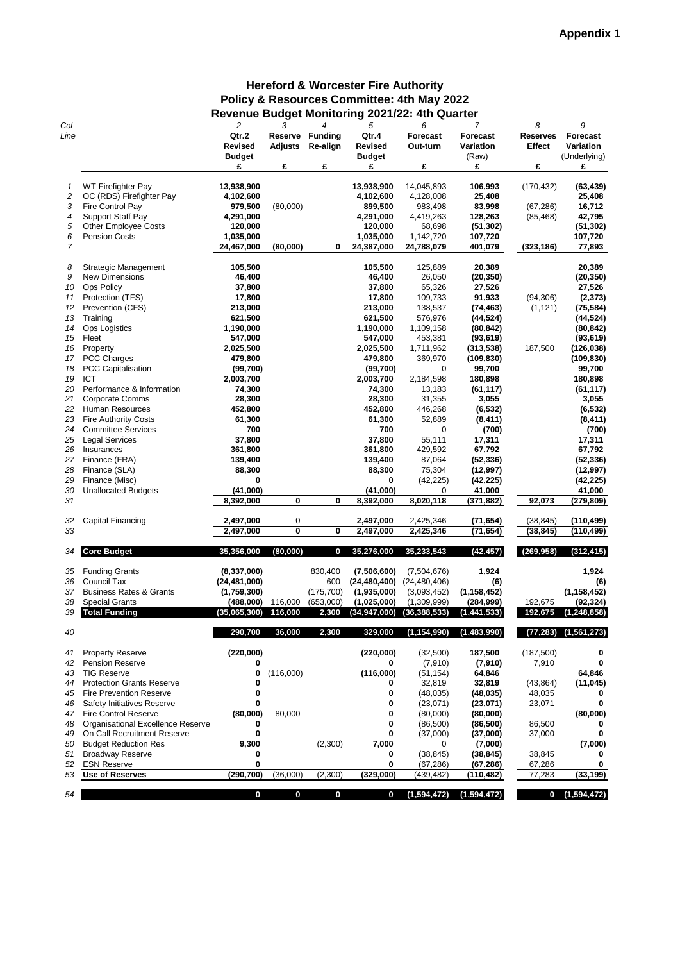| Col  |                                    | $\overline{c}$ | 3                | 4               | 5                | 6               | 7               | 8               | 9               |
|------|------------------------------------|----------------|------------------|-----------------|------------------|-----------------|-----------------|-----------------|-----------------|
| Line |                                    | Qtr.2          | <b>Reserve</b>   | <b>Funding</b>  | Qtr.4            | <b>Forecast</b> | <b>Forecast</b> | <b>Reserves</b> | <b>Forecast</b> |
|      |                                    | <b>Revised</b> | <b>Adjusts</b>   | <b>Re-align</b> | <b>Revised</b>   | Out-turn        | Variation       | <b>Effect</b>   | Variation       |
|      |                                    |                |                  |                 |                  |                 |                 |                 |                 |
|      |                                    | <b>Budget</b>  |                  |                 | <b>Budget</b>    |                 | (Raw)           |                 | (Underlying)    |
|      |                                    | £              | £                | £               | £                | £               | £               | £               | £               |
|      |                                    |                |                  |                 |                  |                 |                 |                 |                 |
|      | <b>WT Firefighter Pay</b>          | 13,938,900     |                  |                 | 13,938,900       | 14,045,893      | 106,993         | (170, 432)      | (63, 439)       |
| 2    | OC (RDS) Firefighter Pay           | 4,102,600      |                  |                 | 4,102,600        | 4,128,008       | 25,408          |                 | 25,408          |
| 3    | Fire Control Pay                   | 979,500        | (80,000)         |                 | 899,500          | 983,498         | 83,998          | (67, 286)       | 16,712          |
| 4    | <b>Support Staff Pay</b>           | 4,291,000      |                  |                 | 4,291,000        | 4,419,263       | 128,263         | (85, 468)       | 42,795          |
|      |                                    |                |                  |                 |                  |                 |                 |                 |                 |
| 5    | <b>Other Employee Costs</b>        | 120,000        |                  |                 | 120,000          | 68,698          | (51, 302)       |                 | (51, 302)       |
| 6    | <b>Pension Costs</b>               | 1,035,000      |                  |                 | 1,035,000        | 1,142,720       | 107,720         |                 | 107,720         |
| 7    |                                    | 24,467,000     | (80,000)         | 0               | 24,387,000       | 24,788,079      | 401,079         | (323, 186)      | 77,893          |
|      |                                    |                |                  |                 |                  |                 |                 |                 |                 |
| 8    | <b>Strategic Management</b>        | 105,500        |                  |                 | 105,500          | 125,889         | 20,389          |                 | 20,389          |
| 9    | <b>New Dimensions</b>              | 46,400         |                  |                 | 46,400           | 26,050          | (20, 350)       |                 | (20, 350)       |
|      |                                    |                |                  |                 |                  |                 |                 |                 |                 |
| 10   | <b>Ops Policy</b>                  | 37,800         |                  |                 | 37,800           | 65,326          | 27,526          |                 | 27,526          |
| 11   | Protection (TFS)                   | 17,800         |                  |                 | 17,800           | 109,733         | 91,933          | (94, 306)       | (2, 373)        |
| 12   | Prevention (CFS)                   | 213,000        |                  |                 | 213,000          | 138,537         | (74, 463)       | (1, 121)        | (75, 584)       |
| 13   | Training                           | 621,500        |                  |                 | 621,500          | 576,976         | (44, 524)       |                 | (44, 524)       |
| 14   | <b>Ops Logistics</b>               | 1,190,000      |                  |                 | 1,190,000        | 1,109,158       | (80, 842)       |                 | (80, 842)       |
| 15   | Fleet                              | 547,000        |                  |                 | 547,000          | 453,381         | (93, 619)       |                 | (93, 619)       |
|      |                                    |                |                  |                 |                  |                 |                 |                 |                 |
| 16   | Property                           | 2,025,500      |                  |                 | 2,025,500        | 1,711,962       | (313, 538)      | 187,500         | (126, 038)      |
| 17   | PCC Charges                        | 479,800        |                  |                 | 479,800          | 369,970         | (109, 830)      |                 | (109, 830)      |
| 18   | <b>PCC Capitalisation</b>          | (99, 700)      |                  |                 | (99, 700)        | 0               | 99,700          |                 | 99,700          |
| 19   | <b>ICT</b>                         | 2,003,700      |                  |                 | 2,003,700        | 2,184,598       | 180,898         |                 | 180,898         |
| 20   | Performance & Information          | 74,300         |                  |                 | 74,300           | 13,183          | (61, 117)       |                 | (61, 117)       |
| 21   | Corporate Comms                    | 28,300         |                  |                 | 28,300           | 31,355          | 3,055           |                 | 3,055           |
|      |                                    |                |                  |                 |                  |                 |                 |                 |                 |
| 22   | Human Resources                    | 452,800        |                  |                 | 452,800          | 446,268         | (6, 532)        |                 | (6, 532)        |
| 23   | <b>Fire Authority Costs</b>        | 61,300         |                  |                 | 61,300           | 52,889          | (8, 411)        |                 | (8, 411)        |
| 24   | <b>Committee Services</b>          | 700            |                  |                 | 700              | 0               | (700)           |                 | (700)           |
| 25   | <b>Legal Services</b>              | 37,800         |                  |                 | 37,800           | 55,111          | 17,311          |                 | 17,311          |
| 26   | Insurances                         | 361,800        |                  |                 | 361,800          | 429,592         | 67,792          |                 | 67,792          |
|      |                                    |                |                  |                 |                  |                 |                 |                 |                 |
| 27   | Finance (FRA)                      | 139,400        |                  |                 | 139,400          | 87,064          | (52, 336)       |                 | (52, 336)       |
| 28   | Finance (SLA)                      | 88,300         |                  |                 | 88,300           | 75,304          | (12, 997)       |                 | (12, 997)       |
| 29   | Finance (Misc)                     | 0              |                  |                 | 0                | (42, 225)       | (42, 225)       |                 | (42, 225)       |
| 30   | <b>Unallocated Budgets</b>         | (41,000)       |                  |                 | (41,000)         | 0               | 41,000          |                 | 41,000          |
| 31   |                                    | 8,392,000      | 0                | 0               | 8,392,000        | 8,020,118       | (371, 882)      | 92,073          | (279, 809)      |
|      |                                    |                |                  |                 |                  |                 |                 |                 |                 |
|      |                                    |                |                  |                 |                  |                 |                 |                 |                 |
| 32   | Capital Financing                  | 2,497,000      | 0                |                 | 2,497,000        | 2,425,346       | (71, 654)       | (38, 845)       | (110, 499)      |
| 33   |                                    | 2,497,000      | $\pmb{0}$        | 0               | 2,497,000        | 2,425,346       | (71, 654)       | (38, 845)       | (110, 499)      |
|      |                                    |                |                  |                 |                  |                 |                 |                 |                 |
| 34   | <b>Core Budget</b>                 | 35,356,000     | (80,000)         | 0               | 35,276,000       | 35,233,543      | (42, 457)       | (269, 958)      | (312, 415)      |
|      |                                    |                |                  |                 |                  |                 |                 |                 |                 |
| 35   | <b>Funding Grants</b>              | (8, 337, 000)  |                  | 830,400         | (7,506,600)      | (7,504,676)     | 1,924           |                 | 1,924           |
|      | <b>Council Tax</b>                 |                |                  |                 |                  |                 |                 |                 |                 |
| 36   |                                    | (24, 481, 000) |                  | 600             | (24, 480, 400)   | (24, 480, 406)  | (6)             |                 | (6)             |
| 37   | <b>Business Rates &amp; Grants</b> | (1,759,300)    |                  | (175, 700)      | (1,935,000)      | (3,093,452)     | (1, 158, 452)   |                 | (1, 158, 452)   |
| 38   | <b>Special Grants</b>              | (488,000)      | 116,000          | (653,000)       | (1,025,000)      | (1,309,999)     | (284, 999)      | 192,675         | (92, 324)       |
| 39   | <b>Total Funding</b>               | (35,065,300)   | 116,000          | 2,300           | (34, 947, 000)   | (36, 388, 533)  | (1,441,533)     | 192,675         | (1, 248, 858)   |
|      |                                    |                |                  |                 |                  |                 |                 |                 |                 |
| 40   |                                    | 290,700        | 36,000           | 2,300           | 329,000          | (1, 154, 990)   | (1,483,990)     | (77, 283)       | (1, 561, 273)   |
|      |                                    |                |                  |                 |                  |                 |                 |                 |                 |
|      |                                    |                |                  |                 |                  |                 |                 |                 |                 |
| 41   | <b>Property Reserve</b>            | (220,000)      |                  |                 | (220,000)        | (32,500)        | 187,500         | (187, 500)      | 0               |
| 42   | Pension Reserve                    | 0              |                  |                 | 0                | (7, 910)        | (7, 910)        | 7,910           | 0               |
| 43   | <b>TIG Reserve</b>                 | 0              | (116,000)        |                 | (116,000)        | (51, 154)       | 64,846          |                 | 64,846          |
| 44   | <b>Protection Grants Reserve</b>   |                |                  |                 | 0                | 32,819          | 32,819          | (43, 864)       | (11, 045)       |
| 45   | <b>Fire Prevention Reserve</b>     |                |                  |                 | 0                | (48, 035)       | (48, 035)       | 48,035          | 0               |
|      |                                    |                |                  |                 |                  |                 |                 |                 |                 |
| 46   | <b>Safety Initiatives Reserve</b>  | 0              |                  |                 | 0                | (23,071)        | (23,071)        | 23,071          | 0               |
| 47   | <b>Fire Control Reserve</b>        | (80,000)       | 80,000           |                 |                  | (80,000)        | (80,000)        |                 | (80,000)        |
| 48   | Organisational Excellence Reserve  | 0              |                  |                 | 0                | (86, 500)       | (86, 500)       | 86,500          | 0               |
| 49   | On Call Recruitment Reserve        | 0              |                  |                 | 0                | (37,000)        | (37,000)        | 37,000          | 0               |
| 50   | <b>Budget Reduction Res</b>        | 9,300          |                  | (2,300)         | 7,000            | 0               | (7,000)         |                 | (7,000)         |
| 51   |                                    | 0              |                  |                 |                  |                 |                 |                 |                 |
|      | <b>Broadway Reserve</b>            |                |                  |                 | 0                | (38, 845)       | (38, 845)       | 38,845          |                 |
| 52   | <b>ESN Reserve</b>                 | 0              |                  |                 | 0                | (67, 286)       | (67, 286)       | 67,286          |                 |
| 53   | <b>Use of Reserves</b>             | (290, 700)     | (36,000)         | (2,300)         | (329,000)        | (439,482)       | (110,482)       | 77,283          | (33, 199)       |
|      |                                    |                |                  |                 |                  |                 |                 |                 |                 |
| 54   |                                    | $\bf{0}$       | $\boldsymbol{0}$ | 0               | $\boldsymbol{0}$ | (1,594,472)     | (1,594,472)     | 0               | (1, 594, 472)   |

## **Hereford & Worcester Fire Authority Policy & Resources Committee: 4th May 2022 Revenue Budget Monitoring 2021/22: 4th Quarter**